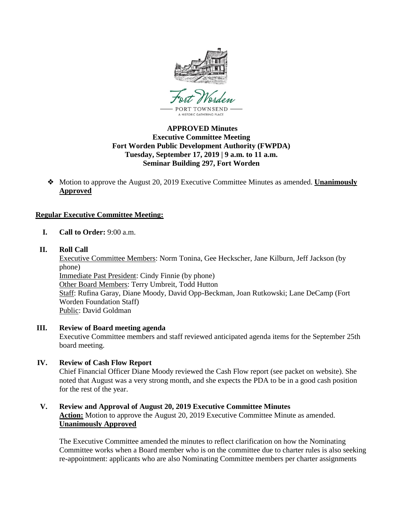

## **APPROVED Minutes Executive Committee Meeting Fort Worden Public Development Authority (FWPDA) Tuesday, September 17, 2019 | 9 a.m. to 11 a.m. Seminar Building 297, Fort Worden**

❖ Motion to approve the August 20, 2019 Executive Committee Minutes as amended. **Unanimously Approved**

# **Regular Executive Committee Meeting:**

- **I. Call to Order:** 9:00 a.m.
- **II. Roll Call**

Executive Committee Members: Norm Tonina, Gee Heckscher, Jane Kilburn, Jeff Jackson (by phone) Immediate Past President: Cindy Finnie (by phone) Other Board Members: Terry Umbreit, Todd Hutton Staff: Rufina Garay, Diane Moody, David Opp-Beckman, Joan Rutkowski; Lane DeCamp (Fort Worden Foundation Staff) Public: David Goldman

**III. Review of Board meeting agenda**

Executive Committee members and staff reviewed anticipated agenda items for the September 25th board meeting.

# **IV. Review of Cash Flow Report**

Chief Financial Officer Diane Moody reviewed the Cash Flow report (see packet on website). She noted that August was a very strong month, and she expects the PDA to be in a good cash position for the rest of the year.

# **V. Review and Approval of August 20, 2019 Executive Committee Minutes Action:** Motion to approve the August 20, 2019 Executive Committee Minute as amended. **Unanimously Approved**

The Executive Committee amended the minutes to reflect clarification on how the Nominating Committee works when a Board member who is on the committee due to charter rules is also seeking re-appointment: applicants who are also Nominating Committee members per charter assignments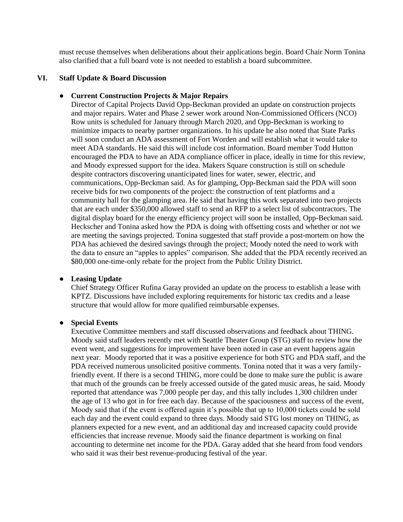must recuse themselves when deliberations about their applications begin. Board Chair Norm Tonina also clarified that a full board vote is not needed to establish a board subcommittee.

## **VI. Staff Update & Board Discussion**

#### ● **Current Construction Projects & Major Repairs**

Director of Capital Projects David Opp-Beckman provided an update on construction projects and major repairs. Water and Phase 2 sewer work around Non-Commissioned Officers (NCO) Row units is scheduled for January through March 2020, and Opp-Beckman is working to minimize impacts to nearby partner organizations. In his update he also noted that State Parks will soon conduct an ADA assessment of Fort Worden and will establish what it would take to meet ADA standards. He said this will include cost information. Board member Todd Hutton encouraged the PDA to have an ADA compliance officer in place, ideally in time for this review, and Moody expressed support for the idea. Makers Square construction is still on schedule despite contractors discovering unanticipated lines for water, sewer, electric, and communications, Opp-Beckman said. As for glamping, Opp-Beckman said the PDA will soon receive bids for two components of the project: the construction of tent platforms and a community hall for the glamping area. He said that having this work separated into two projects that are each under \$350,000 allowed staff to send an RFP to a select list of subcontractors. The digital display board for the energy efficiency project will soon be installed, Opp-Beckman said. Heckscher and Tonina asked how the PDA is doing with offsetting costs and whether or not we are meeting the savings projected. Tonina suggested that staff provide a post-mortem on how the PDA has achieved the desired savings through the project; Moody noted the need to work with the data to ensure an "apples to apples" comparison. She added that the PDA recently received an \$80,000 one-time-only rebate for the project from the Public Utility District.

#### ● **Leasing Update**

Chief Strategy Officer Rufina Garay provided an update on the process to establish a lease with KPTZ. Discussions have included exploring requirements for historic tax credits and a lease structure that would allow for more qualified reimbursable expenses.

#### ● **Special Events**

Executive Committee members and staff discussed observations and feedback about THING. Moody said staff leaders recently met with Seattle Theater Group (STG) staff to review how the event went, and suggestions for improvement have been noted in case an event happens again next year. Moody reported that it was a positive experience for both STG and PDA staff, and the PDA received numerous unsolicited positive comments. Tonina noted that it was a very familyfriendly event. If there is a second THING, more could be done to make sure the public is aware that much of the grounds can be freely accessed outside of the gated music areas, he said. Moody reported that attendance was 7,000 people per day, and this tally includes 1,300 children under the age of 13 who got in for free each day. Because of the spaciousness and success of the event, Moody said that if the event is offered again it's possible that up to 10,000 tickets could be sold each day and the event could expand to three days. Moody said STG lost money on THING, as planners expected for a new event, and an additional day and increased capacity could provide efficiencies that increase revenue. Moody said the finance department is working on final accounting to determine net income for the PDA. Garay added that she heard from food vendors who said it was their best revenue-producing festival of the year.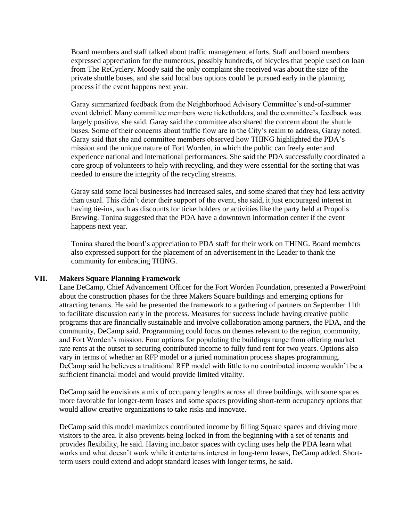Board members and staff talked about traffic management efforts. Staff and board members expressed appreciation for the numerous, possibly hundreds, of bicycles that people used on loan from The ReCyclery. Moody said the only complaint she received was about the size of the private shuttle buses, and she said local bus options could be pursued early in the planning process if the event happens next year.

Garay summarized feedback from the Neighborhood Advisory Committee's end-of-summer event debrief. Many committee members were ticketholders, and the committee's feedback was largely positive, she said. Garay said the committee also shared the concern about the shuttle buses. Some of their concerns about traffic flow are in the City's realm to address, Garay noted. Garay said that she and committee members observed how THING highlighted the PDA's mission and the unique nature of Fort Worden, in which the public can freely enter and experience national and international performances. She said the PDA successfully coordinated a core group of volunteers to help with recycling, and they were essential for the sorting that was needed to ensure the integrity of the recycling streams.

Garay said some local businesses had increased sales, and some shared that they had less activity than usual. This didn't deter their support of the event, she said, it just encouraged interest in having tie-ins, such as discounts for ticketholders or activities like the party held at Propolis Brewing. Tonina suggested that the PDA have a downtown information center if the event happens next year.

Tonina shared the board's appreciation to PDA staff for their work on THING. Board members also expressed support for the placement of an advertisement in the Leader to thank the community for embracing THING.

#### **VII. Makers Square Planning Framework**

Lane DeCamp, Chief Advancement Officer for the Fort Worden Foundation, presented a PowerPoint about the construction phases for the three Makers Square buildings and emerging options for attracting tenants. He said he presented the framework to a gathering of partners on September 11th to facilitate discussion early in the process. Measures for success include having creative public programs that are financially sustainable and involve collaboration among partners, the PDA, and the community, DeCamp said. Programming could focus on themes relevant to the region, community, and Fort Worden's mission. Four options for populating the buildings range from offering market rate rents at the outset to securing contributed income to fully fund rent for two years. Options also vary in terms of whether an RFP model or a juried nomination process shapes programming. DeCamp said he believes a traditional RFP model with little to no contributed income wouldn't be a sufficient financial model and would provide limited vitality.

DeCamp said he envisions a mix of occupancy lengths across all three buildings, with some spaces more favorable for longer-term leases and some spaces providing short-term occupancy options that would allow creative organizations to take risks and innovate.

DeCamp said this model maximizes contributed income by filling Square spaces and driving more visitors to the area. It also prevents being locked in from the beginning with a set of tenants and provides flexibility, he said. Having incubator spaces with cycling uses help the PDA learn what works and what doesn't work while it entertains interest in long-term leases, DeCamp added. Shortterm users could extend and adopt standard leases with longer terms, he said.